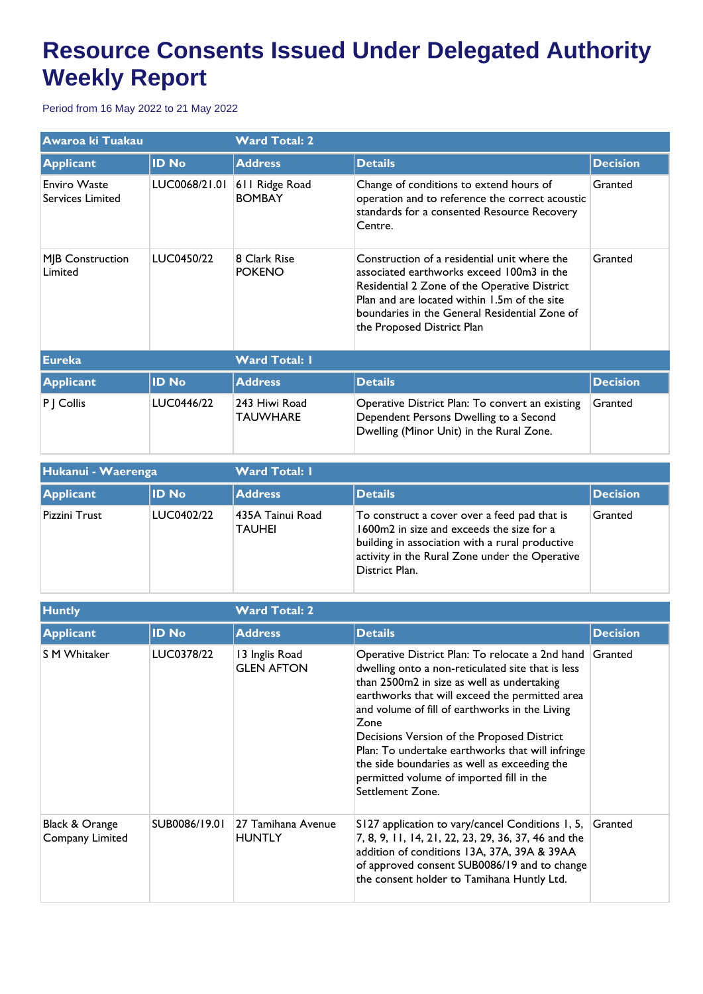## **Resource Consents Issued Under Delegated Authority Weekly Report**

Period from 16 May 2022 to 21 May 2022

| Awaroa ki Tuakau                               |               | <b>Ward Total: 2</b>             |                                                                                                                                                                                                                                                                          |                 |  |
|------------------------------------------------|---------------|----------------------------------|--------------------------------------------------------------------------------------------------------------------------------------------------------------------------------------------------------------------------------------------------------------------------|-----------------|--|
| <b>Applicant</b>                               | <b>ID No</b>  | <b>Address</b>                   | <b>Details</b>                                                                                                                                                                                                                                                           | <b>Decision</b> |  |
| <b>Enviro Waste</b><br><b>Services Limited</b> | LUC0068/21.01 | 611 Ridge Road<br><b>BOMBAY</b>  | Change of conditions to extend hours of<br>operation and to reference the correct acoustic<br>standards for a consented Resource Recovery<br>Centre.                                                                                                                     | Granted         |  |
| MJB Construction<br>Limited                    | LUC0450/22    | 8 Clark Rise<br><b>POKENO</b>    | Construction of a residential unit where the<br>associated earthworks exceed 100m3 in the<br>Residential 2 Zone of the Operative District<br>Plan and are located within 1.5m of the site<br>boundaries in the General Residential Zone of<br>the Proposed District Plan | Granted         |  |
| <b>Eureka</b>                                  |               | <b>Ward Total: I</b>             |                                                                                                                                                                                                                                                                          |                 |  |
| <b>Applicant</b>                               | <b>ID No</b>  | <b>Address</b>                   | <b>Details</b>                                                                                                                                                                                                                                                           | <b>Decision</b> |  |
| P   Collis                                     | LUC0446/22    | 243 Hiwi Road<br><b>TAUWHARE</b> | Operative District Plan: To convert an existing<br>Dependent Persons Dwelling to a Second<br>Dwelling (Minor Unit) in the Rural Zone.                                                                                                                                    | Granted         |  |

| Hukanui - Waerenga |              | <b>Ward Total: I</b>               |                                                                                                                                                                                                                  |                 |  |
|--------------------|--------------|------------------------------------|------------------------------------------------------------------------------------------------------------------------------------------------------------------------------------------------------------------|-----------------|--|
| Applicant          | <b>ID No</b> | <b>Address</b>                     | <b>Details</b>                                                                                                                                                                                                   | <b>Decision</b> |  |
| Pizzini Trust      | LUC0402/22   | 1435A Tainui Road<br><b>TAUHEI</b> | To construct a cover over a feed pad that is<br>1600m2 in size and exceeds the size for a<br>building in association with a rural productive<br>activity in the Rural Zone under the Operative<br>District Plan. | Granted         |  |

| <b>Huntly</b>                     |               | <b>Ward Total: 2</b>                |                                                                                                                                                                                                                                                                                                                                                                                                                                                                                  |                 |
|-----------------------------------|---------------|-------------------------------------|----------------------------------------------------------------------------------------------------------------------------------------------------------------------------------------------------------------------------------------------------------------------------------------------------------------------------------------------------------------------------------------------------------------------------------------------------------------------------------|-----------------|
| <b>Applicant</b>                  | <b>ID No</b>  | <b>Address</b>                      | <b>Details</b>                                                                                                                                                                                                                                                                                                                                                                                                                                                                   | <b>Decision</b> |
| <b>S M Whitaker</b>               | LUC0378/22    | 13 Inglis Road<br><b>GLEN AFTON</b> | Operative District Plan: To relocate a 2nd hand<br>dwelling onto a non-reticulated site that is less<br>than 2500m2 in size as well as undertaking<br>earthworks that will exceed the permitted area<br>and volume of fill of earthworks in the Living<br>Zone<br>Decisions Version of the Proposed District<br>Plan: To undertake earthworks that will infringe<br>the side boundaries as well as exceeding the<br>permitted volume of imported fill in the<br>Settlement Zone. | Granted         |
| Black & Orange<br>Company Limited | SUB0086/19.01 | 27 Tamihana Avenue<br><b>HUNTLY</b> | S127 application to vary/cancel Conditions 1, 5,<br>7, 8, 9, 11, 14, 21, 22, 23, 29, 36, 37, 46 and the<br>addition of conditions 13A, 37A, 39A & 39AA<br>of approved consent SUB0086/19 and to change<br>the consent holder to Tamihana Huntly Ltd.                                                                                                                                                                                                                             | Granted         |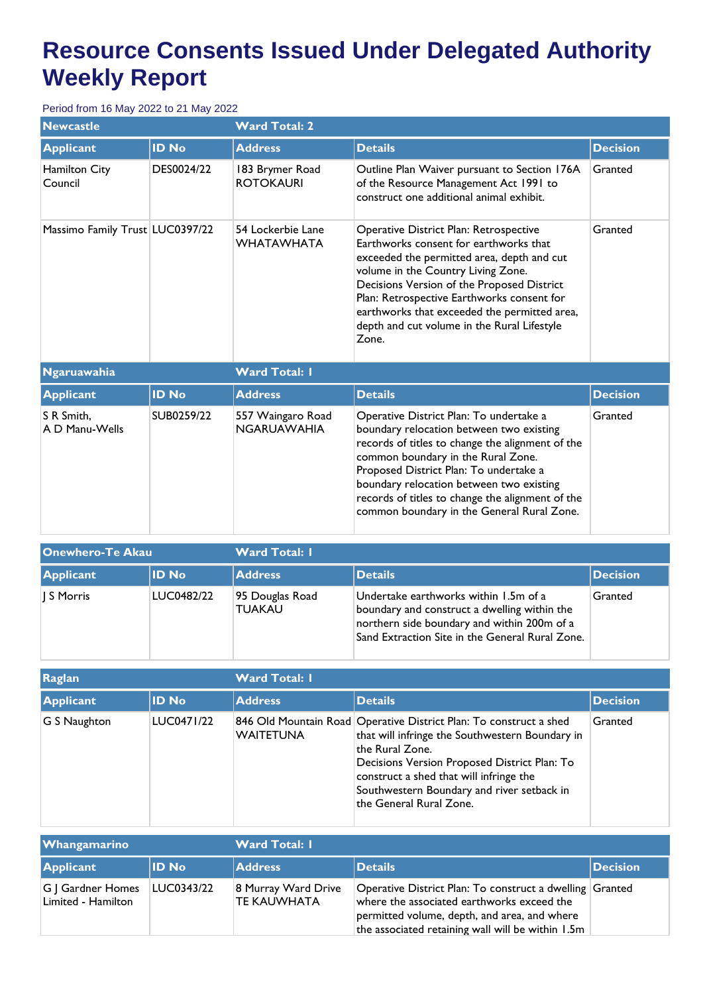## **Resource Consents Issued Under Delegated Authority Weekly Report**

## Period from 16 May 2022 to 21 May 2022

| <b>Newcastle</b>                |              | <b>Ward Total: 2</b>                    |                                                                                                                                                                                                                                                                                                                                                                          |                 |  |
|---------------------------------|--------------|-----------------------------------------|--------------------------------------------------------------------------------------------------------------------------------------------------------------------------------------------------------------------------------------------------------------------------------------------------------------------------------------------------------------------------|-----------------|--|
| <b>Applicant</b>                | <b>ID No</b> | <b>Address</b>                          | <b>Details</b>                                                                                                                                                                                                                                                                                                                                                           | <b>Decision</b> |  |
| Hamilton City<br>Council        | DES0024/22   | 183 Brymer Road<br><b>ROTOKAURI</b>     | Outline Plan Waiver pursuant to Section 176A<br>of the Resource Management Act 1991 to<br>construct one additional animal exhibit.                                                                                                                                                                                                                                       | Granted         |  |
| Massimo Family Trust LUC0397/22 |              | 54 Lockerbie Lane<br><b>WHATAWHATA</b>  | Operative District Plan: Retrospective<br>Earthworks consent for earthworks that<br>exceeded the permitted area, depth and cut<br>volume in the Country Living Zone.<br>Decisions Version of the Proposed District<br>Plan: Retrospective Earthworks consent for<br>earthworks that exceeded the permitted area,<br>depth and cut volume in the Rural Lifestyle<br>Zone. | Granted         |  |
| <b>Ngaruawahia</b>              |              | <b>Ward Total: I</b>                    |                                                                                                                                                                                                                                                                                                                                                                          |                 |  |
| <b>Applicant</b>                | <b>ID No</b> | <b>Address</b>                          | <b>Details</b>                                                                                                                                                                                                                                                                                                                                                           | <b>Decision</b> |  |
| S R Smith.<br>A D Manu-Wells    | SUB0259/22   | 557 Waingaro Road<br><b>NGARUAWAHIA</b> | Operative District Plan: To undertake a<br>boundary relocation between two existing<br>records of titles to change the alignment of the<br>common boundary in the Rural Zone.<br>Proposed District Plan: To undertake a<br>boundary relocation between two existing<br>records of titles to change the alignment of the<br>common boundary in the General Rural Zone.    | Granted         |  |

| <b>Onewhero-Te Akau</b> |            | <b>Ward Total: I</b>             |                                                                                                                                                                                         |                 |  |
|-------------------------|------------|----------------------------------|-----------------------------------------------------------------------------------------------------------------------------------------------------------------------------------------|-----------------|--|
| <b>Applicant</b>        | lID No     | <b>Address</b>                   | <b>Details</b>                                                                                                                                                                          | <b>Decision</b> |  |
| S Morris                | LUC0482/22 | 95 Douglas Road<br><b>TUAKAU</b> | Undertake earthworks within 1.5m of a<br>boundary and construct a dwelling within the<br>northern side boundary and within 200m of a<br>Sand Extraction Site in the General Rural Zone. | Granted         |  |

| <b>Raglan</b> |              | <b>Ward Total: II</b> |                                                                                                                                                                                                                                                                                                              |                 |
|---------------|--------------|-----------------------|--------------------------------------------------------------------------------------------------------------------------------------------------------------------------------------------------------------------------------------------------------------------------------------------------------------|-----------------|
| Applicant     | <b>ID No</b> | <b>Address</b>        | <b>Details</b>                                                                                                                                                                                                                                                                                               | <b>Decision</b> |
| G S Naughton  | LUC0471/22   | <b>WAITETUNA</b>      | 846 Old Mountain Road Operative District Plan: To construct a shed<br>that will infringe the Southwestern Boundary in<br>the Rural Zone.<br>Decisions Version Proposed District Plan: To<br>construct a shed that will infringe the<br>Southwestern Boundary and river setback in<br>the General Rural Zone. | Granted         |

| <b>Whangamarino</b>                     |              | <b>Ward Total: I</b>               |                                                                                                                                                                                                             |                  |  |
|-----------------------------------------|--------------|------------------------------------|-------------------------------------------------------------------------------------------------------------------------------------------------------------------------------------------------------------|------------------|--|
| Applicant                               | <b>ID No</b> | <b>Address</b>                     | Details                                                                                                                                                                                                     | <b>IDecision</b> |  |
| G   Gardner Homes<br>Limited - Hamilton | LUC0343/22   | 8 Murray Ward Drive<br>TE KAUWHATA | Operative District Plan: To construct a dwelling Granted<br>where the associated earthworks exceed the<br>permitted volume, depth, and area, and where<br>the associated retaining wall will be within 1.5m |                  |  |